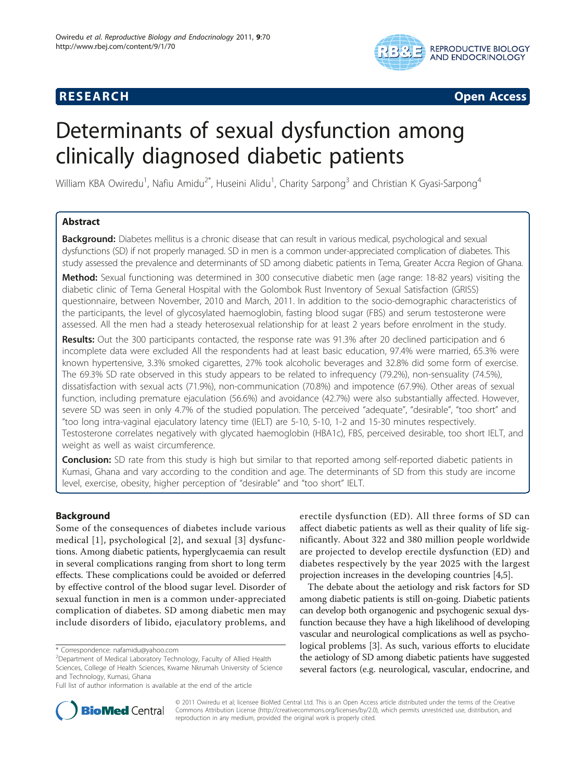

**RESEARCH CONSTRUCTION CONSTRUCTS** 

# Determinants of sexual dysfunction among clinically diagnosed diabetic patients

William KBA Owiredu<sup>1</sup>, Nafiu Amidu<sup>2\*</sup>, Huseini Alidu<sup>1</sup>, Charity Sarpong<sup>3</sup> and Christian K Gyasi-Sarpong<sup>4</sup>

# Abstract

Background: Diabetes mellitus is a chronic disease that can result in various medical, psychological and sexual dysfunctions (SD) if not properly managed. SD in men is a common under-appreciated complication of diabetes. This study assessed the prevalence and determinants of SD among diabetic patients in Tema, Greater Accra Region of Ghana.

Method: Sexual functioning was determined in 300 consecutive diabetic men (age range: 18-82 years) visiting the diabetic clinic of Tema General Hospital with the Golombok Rust Inventory of Sexual Satisfaction (GRISS) questionnaire, between November, 2010 and March, 2011. In addition to the socio-demographic characteristics of the participants, the level of glycosylated haemoglobin, fasting blood sugar (FBS) and serum testosterone were assessed. All the men had a steady heterosexual relationship for at least 2 years before enrolment in the study.

Results: Out the 300 participants contacted, the response rate was 91.3% after 20 declined participation and 6 incomplete data were excluded All the respondents had at least basic education, 97.4% were married, 65.3% were known hypertensive, 3.3% smoked cigarettes, 27% took alcoholic beverages and 32.8% did some form of exercise. The 69.3% SD rate observed in this study appears to be related to infrequency (79.2%), non-sensuality (74.5%), dissatisfaction with sexual acts (71.9%), non-communication (70.8%) and impotence (67.9%). Other areas of sexual function, including premature ejaculation (56.6%) and avoidance (42.7%) were also substantially affected. However, severe SD was seen in only 4.7% of the studied population. The perceived "adequate", "desirable", "too short" and "too long intra-vaginal ejaculatory latency time (IELT) are 5-10, 5-10, 1-2 and 15-30 minutes respectively. Testosterone correlates negatively with glycated haemoglobin (HBA1c), FBS, perceived desirable, too short IELT, and weight as well as waist circumference.

Conclusion: SD rate from this study is high but similar to that reported among self-reported diabetic patients in Kumasi, Ghana and vary according to the condition and age. The determinants of SD from this study are income level, exercise, obesity, higher perception of "desirable" and "too short" IELT.

# Background

Some of the consequences of diabetes include various medical [[1](#page-9-0)], psychological [[2\]](#page-9-0), and sexual [[3](#page-9-0)] dysfunctions. Among diabetic patients, hyperglycaemia can result in several complications ranging from short to long term effects. These complications could be avoided or deferred by effective control of the blood sugar level. Disorder of sexual function in men is a common under-appreciated complication of diabetes. SD among diabetic men may include disorders of libido, ejaculatory problems, and

\* Correspondence: [nafamidu@yahoo.com](mailto:nafamidu@yahoo.com)

erectile dysfunction (ED). All three forms of SD can affect diabetic patients as well as their quality of life significantly. About 322 and 380 million people worldwide are projected to develop erectile dysfunction (ED) and diabetes respectively by the year 2025 with the largest projection increases in the developing countries [\[4,5](#page-9-0)].

The debate about the aetiology and risk factors for SD among diabetic patients is still on-going. Diabetic patients can develop both organogenic and psychogenic sexual dysfunction because they have a high likelihood of developing vascular and neurological complications as well as psychological problems [\[3](#page-9-0)]. As such, various efforts to elucidate the aetiology of SD among diabetic patients have suggested several factors (e.g. neurological, vascular, endocrine, and



© 2011 Owiredu et al; licensee BioMed Central Ltd. This is an Open Access article distributed under the terms of the Creative Commons Attribution License [\(http://creativecommons.org/licenses/by/2.0](http://creativecommons.org/licenses/by/2.0)), which permits unrestricted use, distribution, and reproduction in any medium, provided the original work is properly cited.

<sup>&</sup>lt;sup>2</sup> Department of Medical Laboratory Technology, Faculty of Allied Health Sciences, College of Health Sciences, Kwame Nkrumah University of Science and Technology, Kumasi, Ghana

Full list of author information is available at the end of the article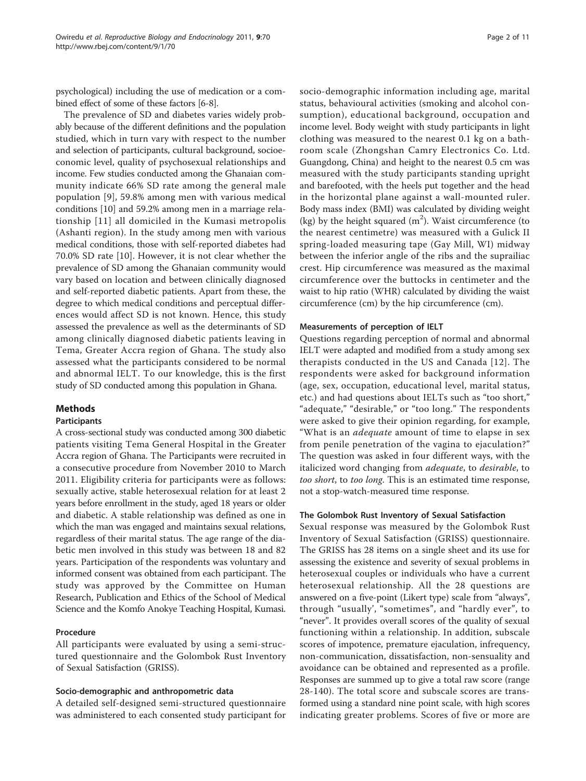psychological) including the use of medication or a combined effect of some of these factors [\[6-8](#page-9-0)].

The prevalence of SD and diabetes varies widely probably because of the different definitions and the population studied, which in turn vary with respect to the number and selection of participants, cultural background, socioeconomic level, quality of psychosexual relationships and income. Few studies conducted among the Ghanaian community indicate 66% SD rate among the general male population [[9\]](#page-9-0), 59.8% among men with various medical conditions [[10\]](#page-9-0) and 59.2% among men in a marriage relationship [[11](#page-9-0)] all domiciled in the Kumasi metropolis (Ashanti region). In the study among men with various medical conditions, those with self-reported diabetes had 70.0% SD rate [\[10](#page-9-0)]. However, it is not clear whether the prevalence of SD among the Ghanaian community would vary based on location and between clinically diagnosed and self-reported diabetic patients. Apart from these, the degree to which medical conditions and perceptual differences would affect SD is not known. Hence, this study assessed the prevalence as well as the determinants of SD among clinically diagnosed diabetic patients leaving in Tema, Greater Accra region of Ghana. The study also assessed what the participants considered to be normal and abnormal IELT. To our knowledge, this is the first study of SD conducted among this population in Ghana.

# Methods

# Participants

A cross-sectional study was conducted among 300 diabetic patients visiting Tema General Hospital in the Greater Accra region of Ghana. The Participants were recruited in a consecutive procedure from November 2010 to March 2011. Eligibility criteria for participants were as follows: sexually active, stable heterosexual relation for at least 2 years before enrollment in the study, aged 18 years or older and diabetic. A stable relationship was defined as one in which the man was engaged and maintains sexual relations, regardless of their marital status. The age range of the diabetic men involved in this study was between 18 and 82 years. Participation of the respondents was voluntary and informed consent was obtained from each participant. The study was approved by the Committee on Human Research, Publication and Ethics of the School of Medical Science and the Komfo Anokye Teaching Hospital, Kumasi.

# Procedure

All participants were evaluated by using a semi-structured questionnaire and the Golombok Rust Inventory of Sexual Satisfaction (GRISS).

# Socio-demographic and anthropometric data

A detailed self-designed semi-structured questionnaire was administered to each consented study participant for socio-demographic information including age, marital status, behavioural activities (smoking and alcohol consumption), educational background, occupation and income level. Body weight with study participants in light clothing was measured to the nearest 0.1 kg on a bathroom scale (Zhongshan Camry Electronics Co. Ltd. Guangdong, China) and height to the nearest 0.5 cm was measured with the study participants standing upright and barefooted, with the heels put together and the head in the horizontal plane against a wall-mounted ruler. Body mass index (BMI) was calculated by dividing weight (kg) by the height squared  $(m^2)$ . Waist circumference (to the nearest centimetre) was measured with a Gulick II spring-loaded measuring tape (Gay Mill, WI) midway between the inferior angle of the ribs and the suprailiac crest. Hip circumference was measured as the maximal circumference over the buttocks in centimeter and the waist to hip ratio (WHR) calculated by dividing the waist circumference (cm) by the hip circumference (cm).

# Measurements of perception of IELT

Questions regarding perception of normal and abnormal IELT were adapted and modified from a study among sex therapists conducted in the US and Canada [[12\]](#page-9-0). The respondents were asked for background information (age, sex, occupation, educational level, marital status, etc.) and had questions about IELTs such as "too short," "adequate," "desirable," or "too long." The respondents were asked to give their opinion regarding, for example, "What is an *adequate* amount of time to elapse in sex from penile penetration of the vagina to ejaculation?" The question was asked in four different ways, with the italicized word changing from adequate, to desirable, to too short, to too long. This is an estimated time response, not a stop-watch-measured time response.

# The Golombok Rust Inventory of Sexual Satisfaction

Sexual response was measured by the Golombok Rust Inventory of Sexual Satisfaction (GRISS) questionnaire. The GRISS has 28 items on a single sheet and its use for assessing the existence and severity of sexual problems in heterosexual couples or individuals who have a current heterosexual relationship. All the 28 questions are answered on a five-point (Likert type) scale from "always", through "usually', "sometimes", and "hardly ever", to "never". It provides overall scores of the quality of sexual functioning within a relationship. In addition, subscale scores of impotence, premature ejaculation, infrequency, non-communication, dissatisfaction, non-sensuality and avoidance can be obtained and represented as a profile. Responses are summed up to give a total raw score (range 28-140). The total score and subscale scores are transformed using a standard nine point scale, with high scores indicating greater problems. Scores of five or more are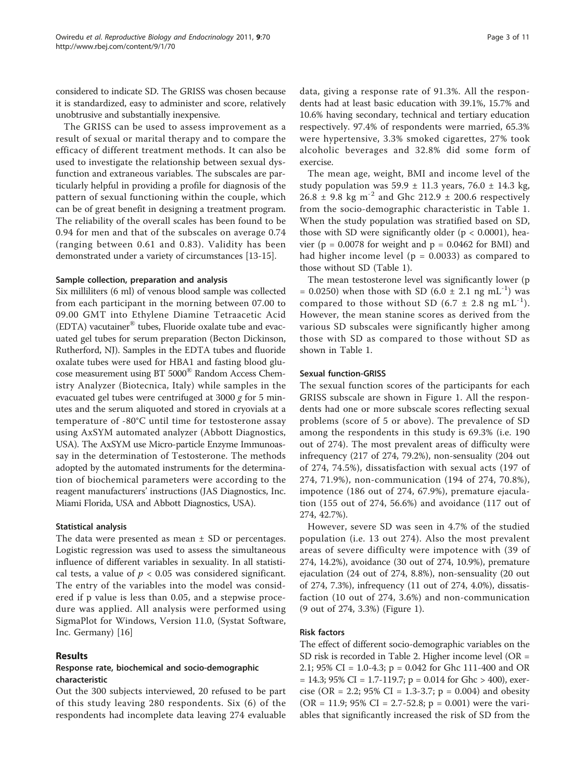considered to indicate SD. The GRISS was chosen because it is standardized, easy to administer and score, relatively unobtrusive and substantially inexpensive.

The GRISS can be used to assess improvement as a result of sexual or marital therapy and to compare the efficacy of different treatment methods. It can also be used to investigate the relationship between sexual dysfunction and extraneous variables. The subscales are particularly helpful in providing a profile for diagnosis of the pattern of sexual functioning within the couple, which can be of great benefit in designing a treatment program. The reliability of the overall scales has been found to be 0.94 for men and that of the subscales on average 0.74 (ranging between 0.61 and 0.83). Validity has been demonstrated under a variety of circumstances [[13-15\]](#page-9-0).

#### Sample collection, preparation and analysis

Six milliliters (6 ml) of venous blood sample was collected from each participant in the morning between 07.00 to 09.00 GMT into Ethylene Diamine Tetraacetic Acid (EDTA) vacutainer® tubes, Fluoride oxalate tube and evacuated gel tubes for serum preparation (Becton Dickinson, Rutherford, NJ). Samples in the EDTA tubes and fluoride oxalate tubes were used for HBA1 and fasting blood glucose measurement using BT 5000® Random Access Chemistry Analyzer (Biotecnica, Italy) while samples in the evacuated gel tubes were centrifuged at 3000 g for 5 minutes and the serum aliquoted and stored in cryovials at a temperature of -80°C until time for testosterone assay using AxSYM automated analyzer (Abbott Diagnostics, USA). The AxSYM use Micro-particle Enzyme Immunoassay in the determination of Testosterone. The methods adopted by the automated instruments for the determination of biochemical parameters were according to the reagent manufacturers' instructions (JAS Diagnostics, Inc. Miami Florida, USA and Abbott Diagnostics, USA).

# Statistical analysis

The data were presented as mean  $\pm$  SD or percentages. Logistic regression was used to assess the simultaneous influence of different variables in sexuality. In all statistical tests, a value of  $p < 0.05$  was considered significant. The entry of the variables into the model was considered if p value is less than 0.05, and a stepwise procedure was applied. All analysis were performed using SigmaPlot for Windows, Version 11.0, (Systat Software, Inc. Germany) [\[16\]](#page-9-0)

#### Results

# Response rate, biochemical and socio-demographic characteristic

Out the 300 subjects interviewed, 20 refused to be part of this study leaving 280 respondents. Six (6) of the respondents had incomplete data leaving 274 evaluable data, giving a response rate of 91.3%. All the respondents had at least basic education with 39.1%, 15.7% and 10.6% having secondary, technical and tertiary education respectively. 97.4% of respondents were married, 65.3% were hypertensive, 3.3% smoked cigarettes, 27% took alcoholic beverages and 32.8% did some form of exercise.

The mean age, weight, BMI and income level of the study population was  $59.9 \pm 11.3$  years,  $76.0 \pm 14.3$  kg,  $26.8 \pm 9.8$  kg m<sup>-2</sup> and Ghc 212.9  $\pm$  200.6 respectively from the socio-demographic characteristic in Table [1](#page-3-0). When the study population was stratified based on SD, those with SD were significantly older ( $p < 0.0001$ ), heavier ( $p = 0.0078$  for weight and  $p = 0.0462$  for BMI) and had higher income level ( $p = 0.0033$ ) as compared to those without SD (Table [1\)](#page-3-0).

The mean testosterone level was significantly lower (p  $= 0.0250$ ) when those with SD (6.0  $\pm$  2.1 ng mL<sup>-1</sup>) was compared to those without SD (6.7  $\pm$  2.8 ng mL<sup>-1</sup>). However, the mean stanine scores as derived from the various SD subscales were significantly higher among those with SD as compared to those without SD as shown in Table [1](#page-3-0).

#### Sexual function-GRISS

The sexual function scores of the participants for each GRISS subscale are shown in Figure [1.](#page-3-0) All the respondents had one or more subscale scores reflecting sexual problems (score of 5 or above). The prevalence of SD among the respondents in this study is 69.3% (i.e. 190 out of 274). The most prevalent areas of difficulty were infrequency (217 of 274, 79.2%), non-sensuality (204 out of 274, 74.5%), dissatisfaction with sexual acts (197 of 274, 71.9%), non-communication (194 of 274, 70.8%), impotence (186 out of 274, 67.9%), premature ejaculation (155 out of 274, 56.6%) and avoidance (117 out of 274, 42.7%).

However, severe SD was seen in 4.7% of the studied population (i.e. 13 out 274). Also the most prevalent areas of severe difficulty were impotence with (39 of 274, 14.2%), avoidance (30 out of 274, 10.9%), premature ejaculation (24 out of 274, 8.8%), non-sensuality (20 out of 274, 7.3%), infrequency (11 out of 274, 4.0%), dissatisfaction (10 out of 274, 3.6%) and non-communication (9 out of 274, 3.3%) (Figure [1](#page-3-0)).

#### Risk factors

The effect of different socio-demographic variables on the SD risk is recorded in Table [2](#page-4-0). Higher income level (OR = 2.1; 95% CI = 1.0-4.3; p = 0.042 for Ghc 111-400 and OR  $= 14.3$ ; 95% CI = 1.7-119.7; p = 0.014 for Ghc > 400), exercise (OR = 2.2; 95% CI = 1.3-3.7; p = 0.004) and obesity (OR = 11.9; 95% CI = 2.7-52.8; p = 0.001) were the variables that significantly increased the risk of SD from the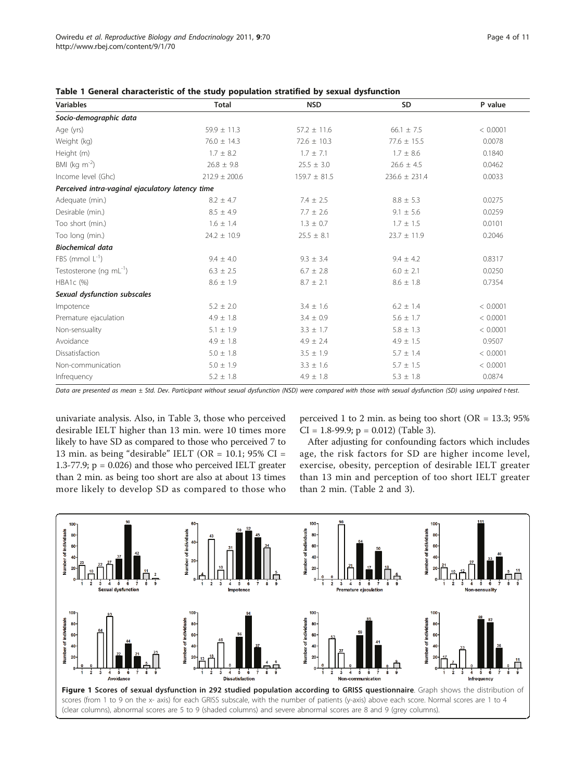| <b>Variables</b>                                 | <b>Total</b>      | <b>NSD</b>       | <b>SD</b>         | P value  |  |  |
|--------------------------------------------------|-------------------|------------------|-------------------|----------|--|--|
| Socio-demographic data                           |                   |                  |                   |          |  |  |
| Age (yrs)                                        | $59.9 \pm 11.3$   | $57.2 \pm 11.6$  | $66.1 \pm 7.5$    | < 0.0001 |  |  |
| Weight (kg)                                      | $76.0 \pm 14.3$   | $72.6 \pm 10.3$  | $77.6 \pm 15.5$   | 0.0078   |  |  |
| Height (m)                                       | $1.7 \pm 8.2$     | $1.7 \pm 7.1$    | $1.7 \pm 8.6$     | 0.1840   |  |  |
| BMI (kg $m^{-2}$ )                               | $26.8 \pm 9.8$    | $25.5 \pm 3.0$   | $26.6 \pm 4.5$    | 0.0462   |  |  |
| Income level (Ghc)                               | $212.9 \pm 200.6$ | $159.7 \pm 81.5$ | $236.6 \pm 231.4$ | 0.0033   |  |  |
| Perceived intra-vaginal ejaculatory latency time |                   |                  |                   |          |  |  |
| Adequate (min.)                                  | $8.2 \pm 4.7$     | $7.4 \pm 2.5$    | $8.8 \pm 5.3$     | 0.0275   |  |  |
| Desirable (min.)                                 | $8.5 \pm 4.9$     | $7.7 \pm 2.6$    | $9.1 \pm 5.6$     | 0.0259   |  |  |
| Too short (min.)                                 | $1.6 \pm 1.4$     | $1.3 \pm 0.7$    | $1.7 \pm 1.5$     | 0.0101   |  |  |
| Too long (min.)                                  | $24.2 \pm 10.9$   | $25.5 \pm 8.1$   | $23.7 \pm 11.9$   | 0.2046   |  |  |
| <b>Biochemical data</b>                          |                   |                  |                   |          |  |  |
| FBS (mmol $L^{-1}$ )                             | $9.4 \pm 4.0$     | $9.3 \pm 3.4$    | $9.4 \pm 4.2$     | 0.8317   |  |  |
| Testosterone (ng $mL^{-1}$ )                     | $6.3 \pm 2.5$     | $6.7 \pm 2.8$    | $6.0 \pm 2.1$     | 0.0250   |  |  |
| HBA1c (%)                                        | $8.6 \pm 1.9$     | $8.7 \pm 2.1$    | $8.6 \pm 1.8$     | 0.7354   |  |  |
| Sexual dysfunction subscales                     |                   |                  |                   |          |  |  |
| Impotence                                        | $5.2 \pm 2.0$     | $3.4 \pm 1.6$    | $6.2 \pm 1.4$     | < 0.0001 |  |  |
| Premature ejaculation                            | $4.9 \pm 1.8$     | $3.4 \pm 0.9$    | $5.6 \pm 1.7$     | < 0.0001 |  |  |
| Non-sensuality                                   | $5.1 \pm 1.9$     | $3.3 \pm 1.7$    | $5.8 \pm 1.3$     | < 0.0001 |  |  |
| Avoidance                                        | $4.9 \pm 1.8$     | $4.9 \pm 2.4$    | $4.9 \pm 1.5$     | 0.9507   |  |  |
| Dissatisfaction                                  | $5.0 \pm 1.8$     | $3.5 \pm 1.9$    | $5.7 \pm 1.4$     | < 0.0001 |  |  |
| Non-communication                                | $5.0 \pm 1.9$     | $3.3 \pm 1.6$    | $5.7 \pm 1.5$     | < 0.0001 |  |  |
| Infrequency                                      | $5.2 \pm 1.8$     | $4.9 \pm 1.8$    | $5.3 \pm 1.8$     | 0.0874   |  |  |

<span id="page-3-0"></span>Table 1 General characteristic of the study population stratified by sexual dysfunction

Data are presented as mean ± Std. Dev. Participant without sexual dysfunction (NSD) were compared with those with sexual dysfunction (SD) using unpaired t-test.

univariate analysis. Also, in Table [3,](#page-5-0) those who perceived desirable IELT higher than 13 min. were 10 times more likely to have SD as compared to those who perceived 7 to 13 min. as being "desirable" IELT (OR = 10.1; 95% CI = 1.3-77.9;  $p = 0.026$ ) and those who perceived IELT greater than 2 min. as being too short are also at about 13 times more likely to develop SD as compared to those who

perceived 1 to 2 min. as being too short ( $OR = 13.3$ ; 95%)  $CI = 1.8-99.9; p = 0.012$  (Table [3\)](#page-5-0).

After adjusting for confounding factors which includes age, the risk factors for SD are higher income level, exercise, obesity, perception of desirable IELT greater than 13 min and perception of too short IELT greater than 2 min. (Table [2](#page-4-0) and [3](#page-5-0)).

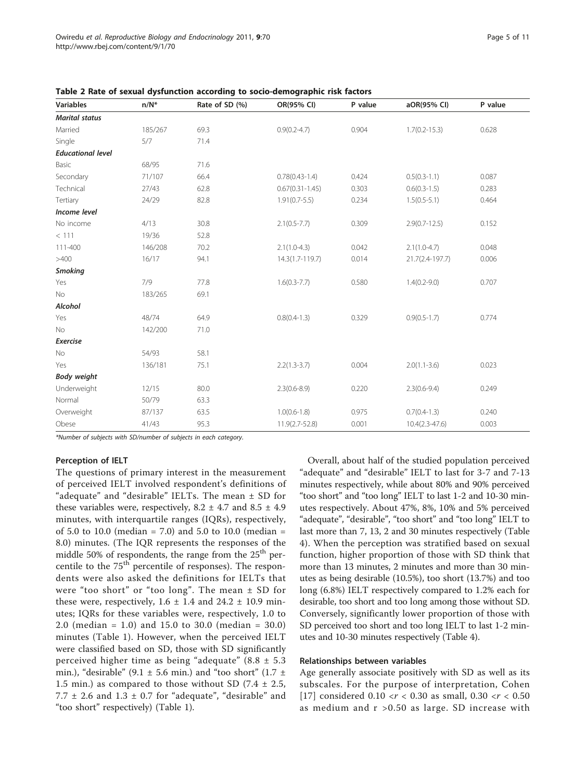| <b>Variables</b>         | $n/N^*$ | Rate of SD (%) | OR(95% CI)          | P value | aOR(95% CI)        | P value |
|--------------------------|---------|----------------|---------------------|---------|--------------------|---------|
| <b>Marital status</b>    |         |                |                     |         |                    |         |
| Married                  | 185/267 | 69.3           | $0.9(0.2 - 4.7)$    | 0.904   | $1.7(0.2 - 15.3)$  | 0.628   |
| Single                   | 5/7     | 71.4           |                     |         |                    |         |
| <b>Educational level</b> |         |                |                     |         |                    |         |
| Basic                    | 68/95   | 71.6           |                     |         |                    |         |
| Secondary                | 71/107  | 66.4           | $0.78(0.43-1.4)$    | 0.424   | $0.5(0.3-1.1)$     | 0.087   |
| Technical                | 27/43   | 62.8           | $0.67(0.31 - 1.45)$ | 0.303   | $0.6(0.3-1.5)$     | 0.283   |
| Tertiary                 | 24/29   | 82.8           | $1.91(0.7 - 5.5)$   | 0.234   | $1.5(0.5-5.1)$     | 0.464   |
| Income level             |         |                |                     |         |                    |         |
| No income                | 4/13    | 30.8           | $2.1(0.5 - 7.7)$    | 0.309   | $2.9(0.7 - 12.5)$  | 0.152   |
| < 111                    | 19/36   | 52.8           |                     |         |                    |         |
| 111-400                  | 146/208 | 70.2           | $2.1(1.0-4.3)$      | 0.042   | $2.1(1.0-4.7)$     | 0.048   |
| >400                     | 16/17   | 94.1           | 14.3(1.7-119.7)     | 0.014   | 21.7(2.4-197.7)    | 0.006   |
| <b>Smoking</b>           |         |                |                     |         |                    |         |
| Yes                      | 7/9     | 77.8           | $1.6(0.3 - 7.7)$    | 0.580   | $1.4(0.2 - 9.0)$   | 0.707   |
| No                       | 183/265 | 69.1           |                     |         |                    |         |
| Alcohol                  |         |                |                     |         |                    |         |
| Yes                      | 48/74   | 64.9           | $0.8(0.4-1.3)$      | 0.329   | $0.9(0.5-1.7)$     | 0.774   |
| No                       | 142/200 | 71.0           |                     |         |                    |         |
| Exercise                 |         |                |                     |         |                    |         |
| No                       | 54/93   | 58.1           |                     |         |                    |         |
| Yes                      | 136/181 | 75.1           | $2.2(1.3-3.7)$      | 0.004   | $2.0(1.1 - 3.6)$   | 0.023   |
| <b>Body weight</b>       |         |                |                     |         |                    |         |
| Underweight              | 12/15   | 80.0           | $2.3(0.6 - 8.9)$    | 0.220   | $2.3(0.6-9.4)$     | 0.249   |
| Normal                   | 50/79   | 63.3           |                     |         |                    |         |
| Overweight               | 87/137  | 63.5           | $1.0(0.6 - 1.8)$    | 0.975   | $0.7(0.4-1.3)$     | 0.240   |
| Obese                    | 41/43   | 95.3           | $11.9(2.7 - 52.8)$  | 0.001   | $10.4(2.3 - 47.6)$ | 0.003   |

<span id="page-4-0"></span>Table 2 Rate of sexual dysfunction according to socio-demographic risk factors

\*Number of subjects with SD/number of subjects in each category.

#### Perception of IELT

The questions of primary interest in the measurement of perceived IELT involved respondent's definitions of "adequate" and "desirable" IELTs. The mean  $\pm$  SD for these variables were, respectively, 8.2  $\pm$  4.7 and 8.5  $\pm$  4.9 minutes, with interquartile ranges (IQRs), respectively, of 5.0 to 10.0 (median = 7.0) and 5.0 to 10.0 (median = 8.0) minutes. (The IQR represents the responses of the middle 50% of respondents, the range from the  $25<sup>th</sup>$  percentile to the 75th percentile of responses). The respondents were also asked the definitions for IELTs that were "too short" or "too long". The mean ± SD for these were, respectively,  $1.6 \pm 1.4$  and  $24.2 \pm 10.9$  minutes; IQRs for these variables were, respectively, 1.0 to 2.0 (median = 1.0) and 15.0 to 30.0 (median = 30.0) minutes (Table [1\)](#page-3-0). However, when the perceived IELT were classified based on SD, those with SD significantly perceived higher time as being "adequate"  $(8.8 \pm 5.3)$ min.), "desirable" (9.1  $\pm$  5.6 min.) and "too short" (1.7  $\pm$ 1.5 min.) as compared to those without SD (7.4  $\pm$  2.5, 7.7  $\pm$  2.6 and 1.3  $\pm$  0.7 for "adequate", "desirable" and "too short" respectively) (Table [1](#page-3-0)).

Overall, about half of the studied population perceived "adequate" and "desirable" IELT to last for 3-7 and 7-13 minutes respectively, while about 80% and 90% perceived "too short" and "too long" IELT to last 1-2 and 10-30 minutes respectively. About 47%, 8%, 10% and 5% perceived "adequate", "desirable", "too short" and "too long" IELT to last more than 7, 13, 2 and 30 minutes respectively (Table [4\)](#page-6-0). When the perception was stratified based on sexual function, higher proportion of those with SD think that more than 13 minutes, 2 minutes and more than 30 minutes as being desirable (10.5%), too short (13.7%) and too long (6.8%) IELT respectively compared to 1.2% each for desirable, too short and too long among those without SD. Conversely, significantly lower proportion of those with SD perceived too short and too long IELT to last 1-2 minutes and 10-30 minutes respectively (Table [4\)](#page-6-0).

#### Relationships between variables

Age generally associate positively with SD as well as its subscales. For the purpose of interpretation, Cohen [[17](#page-9-0)] considered  $0.10 < r < 0.30$  as small,  $0.30 < r < 0.50$ as medium and r >0.50 as large. SD increase with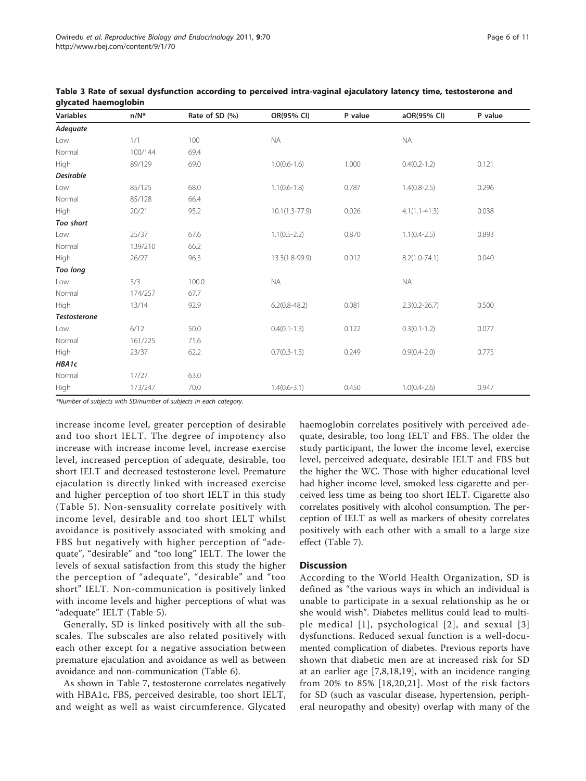| <b>Variables</b>    | $n/N^*$ | Rate of SD (%) | OR(95% CI)         | P value | aOR(95% CI)       | P value |
|---------------------|---------|----------------|--------------------|---------|-------------------|---------|
| Adequate            |         |                |                    |         |                   |         |
| Low                 | 1/1     | 100            | <b>NA</b>          |         | <b>NA</b>         |         |
| Normal              | 100/144 | 69.4           |                    |         |                   |         |
| High                | 89/129  | 69.0           | $1.0(0.6-1.6)$     | 1.000   | $0.4(0.2 - 1.2)$  | 0.121   |
| <b>Desirable</b>    |         |                |                    |         |                   |         |
| Low                 | 85/125  | 68.0           | $1.1(0.6-1.8)$     | 0.787   | $1.4(0.8-2.5)$    | 0.296   |
| Normal              | 85/128  | 66.4           |                    |         |                   |         |
| High                | 20/21   | 95.2           | $10.1(1.3 - 77.9)$ | 0.026   | $4.1(1.1 - 41.3)$ | 0.038   |
| Too short           |         |                |                    |         |                   |         |
| Low                 | 25/37   | 67.6           | $1.1(0.5-2.2)$     | 0.870   | $1.1(0.4-2.5)$    | 0.893   |
| Normal              | 139/210 | 66.2           |                    |         |                   |         |
| High                | 26/27   | 96.3           | 13.3(1.8-99.9)     | 0.012   | $8.2(1.0 - 74.1)$ | 0.040   |
| Too long            |         |                |                    |         |                   |         |
| Low                 | 3/3     | 100.0          | <b>NA</b>          |         | <b>NA</b>         |         |
| Normal              | 174/257 | 67.7           |                    |         |                   |         |
| High                | 13/14   | 92.9           | $6.2(0.8-48.2)$    | 0.081   | $2.3(0.2 - 26.7)$ | 0.500   |
| <b>Testosterone</b> |         |                |                    |         |                   |         |
| Low                 | 6/12    | 50.0           | $0.4(0.1-1.3)$     | 0.122   | $0.3(0.1-1.2)$    | 0.077   |
| Normal              | 161/225 | 71.6           |                    |         |                   |         |
| High                | 23/37   | 62.2           | $0.7(0.3-1.3)$     | 0.249   | $0.9(0.4 - 2.0)$  | 0.775   |
| HBA1c               |         |                |                    |         |                   |         |
| Normal              | 17/27   | 63.0           |                    |         |                   |         |
| High                | 173/247 | 70.0           | $1.4(0.6-3.1)$     | 0.450   | $1.0(0.4-2.6)$    | 0.947   |

<span id="page-5-0"></span>Table 3 Rate of sexual dysfunction according to perceived intra-vaginal ejaculatory latency time, testosterone and glycated haemoglobin

\*Number of subjects with SD/number of subjects in each category.

increase income level, greater perception of desirable and too short IELT. The degree of impotency also increase with increase income level, increase exercise level, increased perception of adequate, desirable, too short IELT and decreased testosterone level. Premature ejaculation is directly linked with increased exercise and higher perception of too short IELT in this study (Table [5\)](#page-6-0). Non-sensuality correlate positively with income level, desirable and too short IELT whilst avoidance is positively associated with smoking and FBS but negatively with higher perception of "adequate", "desirable" and "too long" IELT. The lower the levels of sexual satisfaction from this study the higher the perception of "adequate", "desirable" and "too short" IELT. Non-communication is positively linked with income levels and higher perceptions of what was "adequate" IELT (Table [5](#page-6-0)).

Generally, SD is linked positively with all the subscales. The subscales are also related positively with each other except for a negative association between premature ejaculation and avoidance as well as between avoidance and non-communication (Table [6](#page-7-0)).

As shown in Table [7,](#page-7-0) testosterone correlates negatively with HBA1c, FBS, perceived desirable, too short IELT, and weight as well as waist circumference. Glycated haemoglobin correlates positively with perceived adequate, desirable, too long IELT and FBS. The older the study participant, the lower the income level, exercise level, perceived adequate, desirable IELT and FBS but the higher the WC. Those with higher educational level had higher income level, smoked less cigarette and perceived less time as being too short IELT. Cigarette also correlates positively with alcohol consumption. The perception of IELT as well as markers of obesity correlates positively with each other with a small to a large size effect (Table [7](#page-7-0)).

### **Discussion**

According to the World Health Organization, SD is defined as "the various ways in which an individual is unable to participate in a sexual relationship as he or she would wish". Diabetes mellitus could lead to multiple medical [[1\]](#page-9-0), psychological [[2\]](#page-9-0), and sexual [[3](#page-9-0)] dysfunctions. Reduced sexual function is a well-documented complication of diabetes. Previous reports have shown that diabetic men are at increased risk for SD at an earlier age [[7,8](#page-9-0),[18,19](#page-9-0)], with an incidence ranging from 20% to 85% [[18](#page-9-0),[20](#page-9-0),[21](#page-9-0)]. Most of the risk factors for SD (such as vascular disease, hypertension, peripheral neuropathy and obesity) overlap with many of the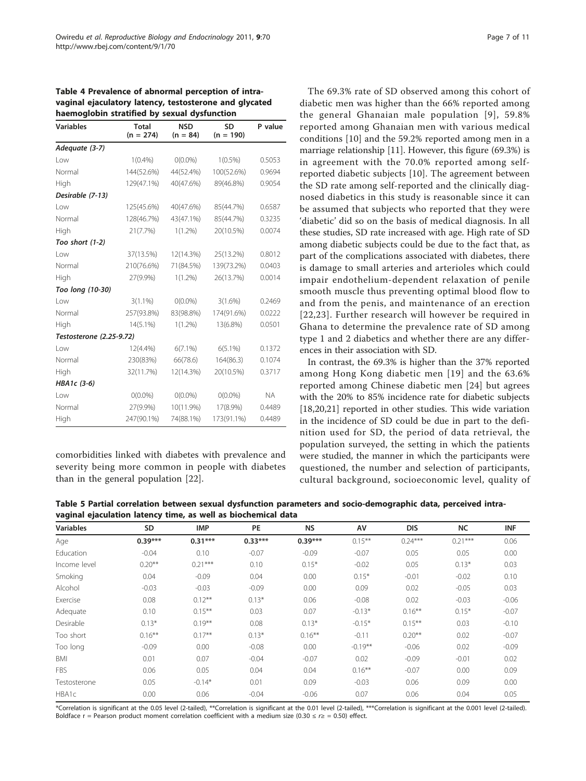| haemoglobin stratified by sexual dysfunction |                             |                          |                   |         |  |  |  |  |  |  |  |
|----------------------------------------------|-----------------------------|--------------------------|-------------------|---------|--|--|--|--|--|--|--|
| <b>Variables</b>                             | <b>Total</b><br>$(n = 274)$ | <b>NSD</b><br>$(n = 84)$ | SD<br>$(n = 190)$ | P value |  |  |  |  |  |  |  |
| Adequate (3-7)                               |                             |                          |                   |         |  |  |  |  |  |  |  |
| Low                                          | $1(0.4\%)$                  | $O(0.0\%)$               | $1(0.5\%)$        | 0.5053  |  |  |  |  |  |  |  |
| Normal                                       | 144(52.6%)                  | 44(52.4%)                | 100(52.6%)        | 0.9694  |  |  |  |  |  |  |  |
| High                                         | 129(47.1%)                  | 40(47.6%)                | 89(46.8%)         | 0.9054  |  |  |  |  |  |  |  |
| Desirable (7-13)                             |                             |                          |                   |         |  |  |  |  |  |  |  |
| l ow                                         | 125(45.6%)                  | 40(47.6%)                | 85(44.7%)         | 0.6587  |  |  |  |  |  |  |  |
| Normal                                       | 128(46.7%)                  | 43(47.1%)                | 85(44.7%)         | 0.3235  |  |  |  |  |  |  |  |
| High                                         | 21(7.7%)                    | $1(1.2\%)$               | 20(10.5%)         | 0.0074  |  |  |  |  |  |  |  |
| Too short (1-2)                              |                             |                          |                   |         |  |  |  |  |  |  |  |
| Low                                          | 37(13.5%)                   | 12(14.3%)                | 25(13.2%)         | 0.8012  |  |  |  |  |  |  |  |
| Normal                                       | 210(76.6%)                  | 71(84.5%)                | 139(73.2%)        | 0.0403  |  |  |  |  |  |  |  |
| High                                         | 27(9.9%)                    | $1(1.2\%)$               | 26(13.7%)         | 0.0014  |  |  |  |  |  |  |  |
| Too long (10-30)                             |                             |                          |                   |         |  |  |  |  |  |  |  |
| l ow                                         | $3(1.1\%)$                  | $O(0.0\%)$               | $3(1.6\%)$        | 0.2469  |  |  |  |  |  |  |  |
| Normal                                       | 257(93.8%)                  | 83(98.8%)                | 174(91.6%)        | 0.0222  |  |  |  |  |  |  |  |
| High                                         | 14(5.1%)                    | $1(1.2\%)$               | 13(6.8%)          | 0.0501  |  |  |  |  |  |  |  |
| Testosterone (2.25-9.72)                     |                             |                          |                   |         |  |  |  |  |  |  |  |
| Low                                          | 12(4.4%)                    | $6(7.1\%)$               | $6(5.1\%)$        | 0.1372  |  |  |  |  |  |  |  |
| Normal                                       | 230(83%)                    | 66(78.6)                 | 164(86.3)         | 0.1074  |  |  |  |  |  |  |  |
| High                                         | 32(11.7%)                   | 12(14.3%)                | 20(10.5%)         | 0.3717  |  |  |  |  |  |  |  |
| HBA1c (3-6)                                  |                             |                          |                   |         |  |  |  |  |  |  |  |
| Low                                          | $O(0.0\%)$                  | $O(0.0\%)$               | $0(0.0\%)$        | NA.     |  |  |  |  |  |  |  |
| Normal                                       | 27(9.9%)                    | 10(11.9%)                | 17(8.9%)          | 0.4489  |  |  |  |  |  |  |  |
| High                                         | 247(90.1%)                  | 74(88.1%)                | 173(91.1%)        | 0.4489  |  |  |  |  |  |  |  |

<span id="page-6-0"></span>Table 4 Prevalence of abnormal perception of intravaginal ejaculatory latency, testosterone and glycated

comorbidities linked with diabetes with prevalence and severity being more common in people with diabetes than in the general population [[22\]](#page-9-0).

Page 7 of 11

The 69.3% rate of SD observed among this cohort of diabetic men was higher than the 66% reported among the general Ghanaian male population [[9](#page-9-0)], 59.8% reported among Ghanaian men with various medical conditions [[10\]](#page-9-0) and the 59.2% reported among men in a marriage relationship [\[11\]](#page-9-0). However, this figure (69.3%) is in agreement with the 70.0% reported among selfreported diabetic subjects [[10](#page-9-0)]. The agreement between the SD rate among self-reported and the clinically diagnosed diabetics in this study is reasonable since it can be assumed that subjects who reported that they were 'diabetic' did so on the basis of medical diagnosis. In all these studies, SD rate increased with age. High rate of SD among diabetic subjects could be due to the fact that, as part of the complications associated with diabetes, there is damage to small arteries and arterioles which could impair endothelium-dependent relaxation of penile smooth muscle thus preventing optimal blood flow to and from the penis, and maintenance of an erection [[22,](#page-9-0)[23\]](#page-10-0). Further research will however be required in Ghana to determine the prevalence rate of SD among type 1 and 2 diabetics and whether there are any differences in their association with SD.

In contrast, the 69.3% is higher than the 37% reported among Hong Kong diabetic men [[19\]](#page-9-0) and the 63.6% reported among Chinese diabetic men [[24\]](#page-10-0) but agrees with the 20% to 85% incidence rate for diabetic subjects [[18,20,21](#page-9-0)] reported in other studies. This wide variation in the incidence of SD could be due in part to the definition used for SD, the period of data retrieval, the population surveyed, the setting in which the patients were studied, the manner in which the participants were questioned, the number and selection of participants, cultural background, socioeconomic level, quality of

Table 5 Partial correlation between sexual dysfunction parameters and socio-demographic data, perceived intravaginal ejaculation latency time, as well as biochemical data

| <b>Variables</b> | <b>SD</b> | <b>IMP</b> | PE        | <b>NS</b> | AV         | <b>DIS</b> | <b>NC</b> | <b>INF</b> |
|------------------|-----------|------------|-----------|-----------|------------|------------|-----------|------------|
| Age              | $0.39***$ | $0.31***$  | $0.33***$ | $0.39***$ | $0.15***$  | $0.24***$  | $0.21***$ | 0.06       |
| Education        | $-0.04$   | 0.10       | $-0.07$   | $-0.09$   | $-0.07$    | 0.05       | 0.05      | 0.00       |
| Income level     | $0.20**$  | $0.21***$  | 0.10      | $0.15*$   | $-0.02$    | 0.05       | $0.13*$   | 0.03       |
| Smoking          | 0.04      | $-0.09$    | 0.04      | 0.00      | $0.15*$    | $-0.01$    | $-0.02$   | 0.10       |
| Alcohol          | $-0.03$   | $-0.03$    | $-0.09$   | 0.00      | 0.09       | 0.02       | $-0.05$   | 0.03       |
| Exercise         | 0.08      | $0.12***$  | $0.13*$   | 0.06      | $-0.08$    | 0.02       | $-0.03$   | $-0.06$    |
| Adequate         | 0.10      | $0.15***$  | 0.03      | 0.07      | $-0.13*$   | $0.16***$  | $0.15*$   | $-0.07$    |
| Desirable        | $0.13*$   | $0.19***$  | 0.08      | $0.13*$   | $-0.15*$   | $0.15***$  | 0.03      | $-0.10$    |
| Too short        | $0.16***$ | $0.17***$  | $0.13*$   | $0.16***$ | $-0.11$    | $0.20**$   | 0.02      | $-0.07$    |
| Too long         | $-0.09$   | 0.00       | $-0.08$   | 0.00      | $-0.19***$ | $-0.06$    | 0.02      | $-0.09$    |
| <b>BMI</b>       | 0.01      | 0.07       | $-0.04$   | $-0.07$   | 0.02       | $-0.09$    | $-0.01$   | 0.02       |
| FBS              | 0.06      | 0.05       | 0.04      | 0.04      | $0.16***$  | $-0.07$    | 0.00      | 0.09       |
| Testosterone     | 0.05      | $-0.14*$   | 0.01      | 0.09      | $-0.03$    | 0.06       | 0.09      | 0.00       |
| HBA1c            | 0.00      | 0.06       | $-0.04$   | $-0.06$   | 0.07       | 0.06       | 0.04      | 0.05       |

\*Correlation is significant at the 0.05 level (2-tailed), \*\*Correlation is significant at the 0.01 level (2-tailed), \*\*\*Correlation is significant at the 0.001 level (2-tailed). Boldface r = Pearson product moment correlation coefficient with a medium size (0.30  $\leq$  r $\geq$  = 0.50) effect.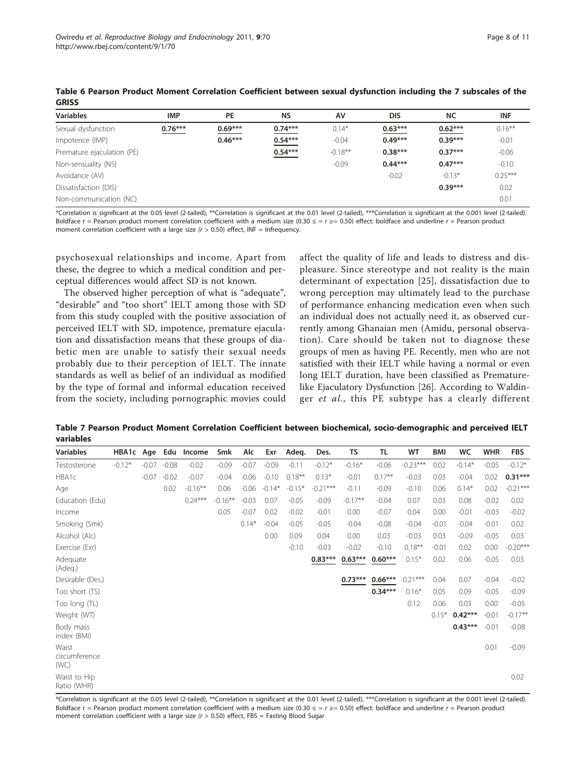| <b>Variables</b>           | <b>IMP</b> | <b>PE</b> | <b>NS</b> | AV         | <b>DIS</b> | <b>NC</b> | <b>INF</b> |
|----------------------------|------------|-----------|-----------|------------|------------|-----------|------------|
| Sexual dysfunction         | $0.76***$  | $0.69***$ | $0.74***$ | $0.14*$    | $0.63***$  | $0.62***$ | $0.16***$  |
| Impotence (IMP)            |            | $0.46***$ | $0.54***$ | $-0.04$    | $0.49***$  | $0.39***$ | $-0.01$    |
| Premature ejaculation (PE) |            |           | $0.54***$ | $-0.18***$ | $0.38***$  | $0.37***$ | $-0.06$    |
| Non-sensuality (NS)        |            |           |           | $-0.09$    | $0.44***$  | $0.47***$ | $-0.10$    |
| Avoidance (AV)             |            |           |           |            | $-0.02$    | $-0.13*$  | $0.25***$  |
| Dissatisfaction (DIS)      |            |           |           |            |            | $0.39***$ | 0.02       |
| Non-communication (NC)     |            |           |           |            |            |           | 0.01       |

<span id="page-7-0"></span>Table 6 Pearson Product Moment Correlation Coefficient between sexual dysfunction including the 7 subscales of the GRISS

\*Correlation is significant at the 0.05 level (2-tailed), \*\*Correlation is significant at the 0.01 level (2-tailed), \*\*\*Correlation is significant at the 0.001 level (2-tailed). Boldface r = Pearson product moment correlation coefficient with a medium size (0.30  $\leq$  = r  $\geq$  = 0.50) effect: boldface and underline r = Pearson product moment correlation coefficient with a large size  $(r > 0.50)$  effect, INF = Infrequency.

psychosexual relationships and income. Apart from these, the degree to which a medical condition and perceptual differences would affect SD is not known.

The observed higher perception of what is "adequate", "desirable" and "too short" IELT among those with SD from this study coupled with the positive association of perceived IELT with SD, impotence, premature ejaculation and dissatisfaction means that these groups of diabetic men are unable to satisfy their sexual needs probably due to their perception of IELT. The innate standards as well as belief of an individual as modified by the type of formal and informal education received from the society, including pornographic movies could

affect the quality of life and leads to distress and displeasure. Since stereotype and not reality is the main determinant of expectation [[25](#page-10-0)], dissatisfaction due to wrong perception may ultimately lead to the purchase of performance enhancing medication even when such an individual does not actually need it, as observed currently among Ghanaian men (Amidu, personal observation). Care should be taken not to diagnose these groups of men as having PE. Recently, men who are not satisfied with their IELT while having a normal or even long IELT duration, have been classified as Prematurelike Ejaculatory Dysfunction [\[26](#page-10-0)]. According to Waldinger et al., this PE subtype has a clearly different

Table 7 Pearson Product Moment Correlation Coefficient between biochemical, socio-demographic and perceived IELT variables

| <b>Variables</b>               | HBA1c Age |         | Edu     | Income     | Smk        | Alc     | Exr      | Adeq.     | Des.       | TS        | TL        | WT         | BMI     | WC        | <b>WHR</b> | <b>FBS</b> |
|--------------------------------|-----------|---------|---------|------------|------------|---------|----------|-----------|------------|-----------|-----------|------------|---------|-----------|------------|------------|
| Testosterone                   | $-0.12*$  | $-0.07$ | $-0.08$ | $-0.02$    | $-0.09$    | $-0.07$ | $-0.09$  | $-0.11$   | $-0.12*$   | $-0.16*$  | $-0.06$   | $-0.23***$ | 0.02    | $-0.14*$  | $-0.05$    | $-0.12*$   |
| HBA1c                          |           | $-0.07$ | $-0.02$ | $-0.07$    | $-0.04$    | $-0.06$ | $-0.10$  | $0.18***$ | $0.13*$    | $-0.01$   | $0.17***$ | $-0.03$    | 0.03    | $-0.04$   | 0.02       | $0.31***$  |
| Age                            |           |         | 0.02    | $-0.16***$ | 0.06       | $-0.06$ | $-0.14*$ | $-0.15*$  | $-0.21***$ | $-0.11$   | $-0.09$   | $-0.10$    | 0.06    | $0.14*$   | 0.02       | $-0.21***$ |
| Education (Edu)                |           |         |         | $0.24***$  | $-0.16***$ | $-0.03$ | 0.07     | $-0.05$   | $-0.09$    | $-0.17**$ | $-0.04$   | 0.07       | 0.03    | 0.08      | $-0.02$    | 0.02       |
| Income                         |           |         |         |            | 0.05       | $-0.07$ | 0.02     | $-0.02$   | $-0.01$    | 0.00      | $-0.07$   | 0.04       | 0.00    | $-0.01$   | $-0.03$    | $-0.02$    |
| Smoking (Smk)                  |           |         |         |            |            | $0.14*$ | $-0.04$  | $-0.05$   | $-0.05$    | $-0.04$   | $-0.08$   | $-0.04$    | $-0.01$ | $-0.04$   | $-0.01$    | 0.02       |
| Alcohol (Alc)                  |           |         |         |            |            |         | 0.00     | 0.09      | 0.04       | 0.00      | 0.03      | $-0.03$    | 0.03    | $-0.09$   | $-0.05$    | 0.03       |
| Exercise (Exr)                 |           |         |         |            |            |         |          | $-0.10$   | $-0.03$    | $-0.02$   | $-0.10$   | $0.18***$  | $-0.01$ | 0.02      | 0.00       | $-0.20***$ |
| Adequate<br>(Adeg.)            |           |         |         |            |            |         |          |           | $0.83***$  | $0.63***$ | $0.60***$ | $0.15*$    | 0.02    | 0.06      | $-0.05$    | 0.03       |
| Desirable (Des.)               |           |         |         |            |            |         |          |           |            | $0.73***$ | $0.66***$ | $0.21***$  | 0.04    | 0.07      | $-0.04$    | $-0.02$    |
| Too short (TS)                 |           |         |         |            |            |         |          |           |            |           | $0.34***$ | $0.16*$    | 0.05    | 0.09      | $-0.05$    | $-0.09$    |
| Too long (TL)                  |           |         |         |            |            |         |          |           |            |           |           | 0.12       | 0.06    | 0.03      | 0.00       | $-0.05$    |
| Weight (WT)                    |           |         |         |            |            |         |          |           |            |           |           |            | $0.15*$ | $0.42***$ | $-0.01$    | $-0.17**$  |
| Body mass<br>index (BMI)       |           |         |         |            |            |         |          |           |            |           |           |            |         | $0.43***$ | $-0.01$    | $-0.08$    |
| Waist<br>circumference<br>(WC) |           |         |         |            |            |         |          |           |            |           |           |            |         |           | 0.01       | $-0.09$    |
| Waist to Hip<br>Ratio (WHR)    |           |         |         |            |            |         |          |           |            |           |           |            |         |           |            | 0.02       |

\*Correlation is significant at the 0.05 level (2-tailed), \*\*Correlation is significant at the 0.01 level (2-tailed), \*\*\*Correlation is significant at the 0.001 level (2-tailed). Boldface r = Pearson product moment correlation coefficient with a medium size (0.30  $\leq$  = r  $\geq$  = 0.50) effect: boldface and underline r = Pearson product moment correlation coefficient with a large size ( $r > 0.50$ ) effect, FBS = Fasting Blood Sugar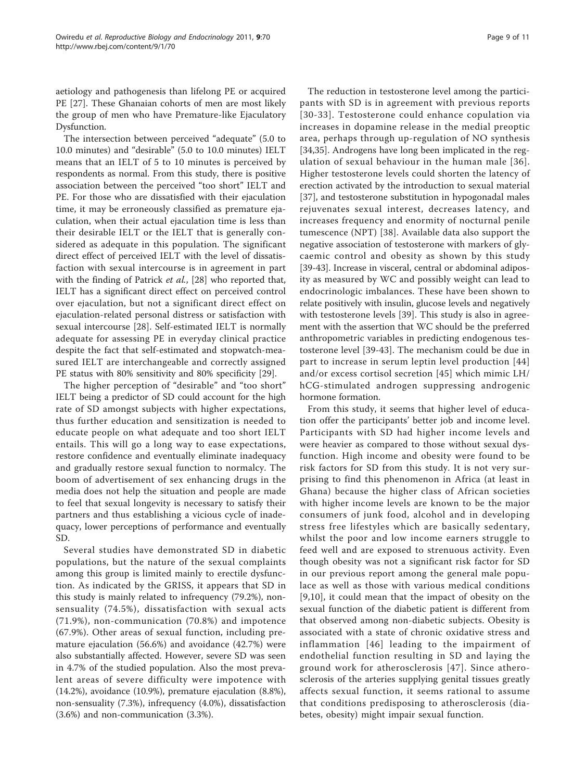aetiology and pathogenesis than lifelong PE or acquired PE [\[27](#page-10-0)]. These Ghanaian cohorts of men are most likely the group of men who have Premature-like Ejaculatory Dysfunction.

The intersection between perceived "adequate" (5.0 to 10.0 minutes) and "desirable" (5.0 to 10.0 minutes) IELT means that an IELT of 5 to 10 minutes is perceived by respondents as normal. From this study, there is positive association between the perceived "too short" IELT and PE. For those who are dissatisfied with their ejaculation time, it may be erroneously classified as premature ejaculation, when their actual ejaculation time is less than their desirable IELT or the IELT that is generally considered as adequate in this population. The significant direct effect of perceived IELT with the level of dissatisfaction with sexual intercourse is in agreement in part with the finding of Patrick et al., [[28\]](#page-10-0) who reported that, IELT has a significant direct effect on perceived control over ejaculation, but not a significant direct effect on ejaculation-related personal distress or satisfaction with sexual intercourse [[28\]](#page-10-0). Self-estimated IELT is normally adequate for assessing PE in everyday clinical practice despite the fact that self-estimated and stopwatch-measured IELT are interchangeable and correctly assigned PE status with 80% sensitivity and 80% specificity [\[29](#page-10-0)].

The higher perception of "desirable" and "too short" IELT being a predictor of SD could account for the high rate of SD amongst subjects with higher expectations, thus further education and sensitization is needed to educate people on what adequate and too short IELT entails. This will go a long way to ease expectations, restore confidence and eventually eliminate inadequacy and gradually restore sexual function to normalcy. The boom of advertisement of sex enhancing drugs in the media does not help the situation and people are made to feel that sexual longevity is necessary to satisfy their partners and thus establishing a vicious cycle of inadequacy, lower perceptions of performance and eventually SD.

Several studies have demonstrated SD in diabetic populations, but the nature of the sexual complaints among this group is limited mainly to erectile dysfunction. As indicated by the GRISS, it appears that SD in this study is mainly related to infrequency (79.2%), nonsensuality (74.5%), dissatisfaction with sexual acts (71.9%), non-communication (70.8%) and impotence (67.9%). Other areas of sexual function, including premature ejaculation (56.6%) and avoidance (42.7%) were also substantially affected. However, severe SD was seen in 4.7% of the studied population. Also the most prevalent areas of severe difficulty were impotence with (14.2%), avoidance (10.9%), premature ejaculation (8.8%), non-sensuality (7.3%), infrequency (4.0%), dissatisfaction (3.6%) and non-communication (3.3%).

The reduction in testosterone level among the participants with SD is in agreement with previous reports [[30](#page-10-0)-[33\]](#page-10-0). Testosterone could enhance copulation via increases in dopamine release in the medial preoptic area, perhaps through up-regulation of NO synthesis [[34,35\]](#page-10-0). Androgens have long been implicated in the regulation of sexual behaviour in the human male [[36\]](#page-10-0). Higher testosterone levels could shorten the latency of erection activated by the introduction to sexual material [[37\]](#page-10-0), and testosterone substitution in hypogonadal males rejuvenates sexual interest, decreases latency, and increases frequency and enormity of nocturnal penile tumescence (NPT) [[38\]](#page-10-0). Available data also support the negative association of testosterone with markers of glycaemic control and obesity as shown by this study [[39-43\]](#page-10-0). Increase in visceral, central or abdominal adiposity as measured by WC and possibly weight can lead to endocrinologic imbalances. These have been shown to relate positively with insulin, glucose levels and negatively with testosterone levels [\[39](#page-10-0)]. This study is also in agreement with the assertion that WC should be the preferred anthropometric variables in predicting endogenous testosterone level [[39-43\]](#page-10-0). The mechanism could be due in part to increase in serum leptin level production [[44](#page-10-0)] and/or excess cortisol secretion [[45\]](#page-10-0) which mimic LH/ hCG-stimulated androgen suppressing androgenic hormone formation.

From this study, it seems that higher level of education offer the participants' better job and income level. Participants with SD had higher income levels and were heavier as compared to those without sexual dysfunction. High income and obesity were found to be risk factors for SD from this study. It is not very surprising to find this phenomenon in Africa (at least in Ghana) because the higher class of African societies with higher income levels are known to be the major consumers of junk food, alcohol and in developing stress free lifestyles which are basically sedentary, whilst the poor and low income earners struggle to feed well and are exposed to strenuous activity. Even though obesity was not a significant risk factor for SD in our previous report among the general male populace as well as those with various medical conditions [[9,10](#page-9-0)], it could mean that the impact of obesity on the sexual function of the diabetic patient is different from that observed among non-diabetic subjects. Obesity is associated with a state of chronic oxidative stress and inflammation [[46\]](#page-10-0) leading to the impairment of endothelial function resulting in SD and laying the ground work for atherosclerosis [[47](#page-10-0)]. Since atherosclerosis of the arteries supplying genital tissues greatly affects sexual function, it seems rational to assume that conditions predisposing to atherosclerosis (diabetes, obesity) might impair sexual function.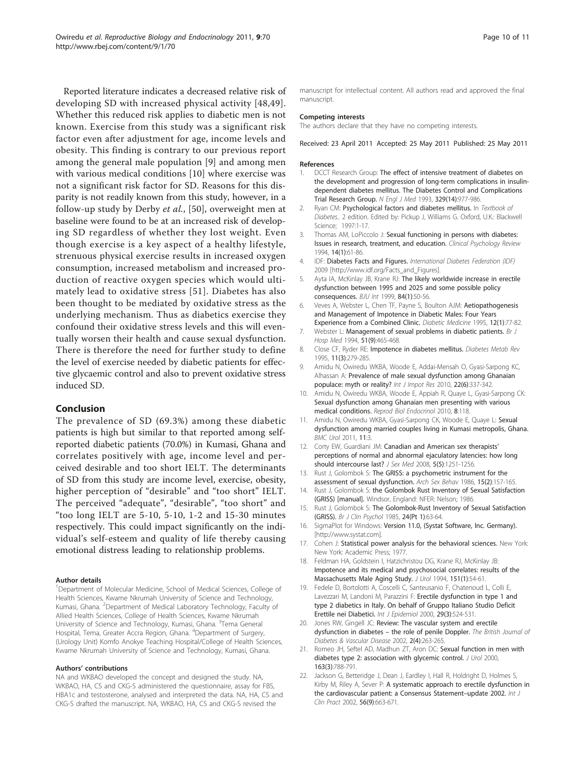<span id="page-9-0"></span>Reported literature indicates a decreased relative risk of developing SD with increased physical activity [[48](#page-10-0),[49\]](#page-10-0). Whether this reduced risk applies to diabetic men is not known. Exercise from this study was a significant risk factor even after adjustment for age, income levels and obesity. This finding is contrary to our previous report among the general male population [9] and among men with various medical conditions [10] where exercise was not a significant risk factor for SD. Reasons for this disparity is not readily known from this study, however, in a follow-up study by Derby et al., [[50\]](#page-10-0), overweight men at baseline were found to be at an increased risk of developing SD regardless of whether they lost weight. Even though exercise is a key aspect of a healthy lifestyle, strenuous physical exercise results in increased oxygen consumption, increased metabolism and increased production of reactive oxygen species which would ultimately lead to oxidative stress [[51](#page-10-0)]. Diabetes has also been thought to be mediated by oxidative stress as the underlying mechanism. Thus as diabetics exercise they confound their oxidative stress levels and this will eventually worsen their health and cause sexual dysfunction. There is therefore the need for further study to define the level of exercise needed by diabetic patients for effective glycaemic control and also to prevent oxidative stress induced SD.

# Conclusion

The prevalence of SD (69.3%) among these diabetic patients is high but similar to that reported among selfreported diabetic patients (70.0%) in Kumasi, Ghana and correlates positively with age, income level and perceived desirable and too short IELT. The determinants of SD from this study are income level, exercise, obesity, higher perception of "desirable" and "too short" IELT. The perceived "adequate", "desirable", "too short" and "too long IELT are 5-10, 5-10, 1-2 and 15-30 minutes respectively. This could impact significantly on the individual's self-esteem and quality of life thereby causing emotional distress leading to relationship problems.

#### Author details

<sup>1</sup>Department of Molecular Medicine, School of Medical Sciences, College of Health Sciences, Kwame Nkrumah University of Science and Technology, Kumasi, Ghana. <sup>2</sup>Department of Medical Laboratory Technology, Faculty of Allied Health Sciences, College of Health Sciences, Kwame Nkrumah University of Science and Technology, Kumasi, Ghana. <sup>3</sup>Tema General Hospital, Tema, Greater Accra Region, Ghana. <sup>4</sup>Department of Surgery, (Urology Unit) Komfo Anokye Teaching Hospital/College of Health Sciences, Kwame Nkrumah University of Science and Technology, Kumasi, Ghana.

### Authors' contributions

NA and WKBAO developed the concept and designed the study. NA, WKBAO, HA, CS and CKG-S administered the questionnaire, assay for FBS, HBA1c and testosterone, analysed and interpreted the data. NA, HA, CS and CKG-S drafted the manuscript. NA, WKBAO, HA, CS and CKG-S revised the

manuscript for intellectual content. All authors read and approved the final manuscript.

#### Competing interests

The authors declare that they have no competing interests.

Received: 23 April 2011 Accepted: 25 May 2011 Published: 25 May 2011

#### References

- 1. DCCT Research Group: [The effect of intensive treatment of diabetes on](http://www.ncbi.nlm.nih.gov/pubmed/8366922?dopt=Abstract) [the development and progression of long-term complications in insulin](http://www.ncbi.nlm.nih.gov/pubmed/8366922?dopt=Abstract)[dependent diabetes mellitus. The Diabetes Control and Complications](http://www.ncbi.nlm.nih.gov/pubmed/8366922?dopt=Abstract) [Trial Research Group.](http://www.ncbi.nlm.nih.gov/pubmed/8366922?dopt=Abstract) N Engl J Med 1993, 329(14):977-986.
- 2. Ryan CM: Psychological factors and diabetes mellitus. In Textbook of Diabetes.. 2 edition. Edited by: Pickup J, Williams G. Oxford, U.K.: Blackwell Science; 1997:1-17.
- 3. Thomas AM, LoPiccolo J: Sexual functioning in persons with diabetes: Issues in research, treatment, and education. Clinical Psychology Review 1994, 14(1):61-86.
- 4. IDF: Diabetes Facts and Figures. International Diabetes Federation (IDF) 2009 [\[http://www.idf.org/Facts\\_and\\_Figures\]](http://www.idf.org/Facts_and_Figures).
- 5. Ayta IA, McKinlay JB, Krane RJ: [The likely worldwide increase in erectile](http://www.ncbi.nlm.nih.gov/pubmed/10444124?dopt=Abstract) [dysfunction between 1995 and 2025 and some possible policy](http://www.ncbi.nlm.nih.gov/pubmed/10444124?dopt=Abstract) [consequences.](http://www.ncbi.nlm.nih.gov/pubmed/10444124?dopt=Abstract) BJU Int 1999, 84(1):50-56.
- 6. Veves A, Webster L, Chen TF, Payne S, Boulton AJM: [Aetiopathogenesis](http://www.ncbi.nlm.nih.gov/pubmed/7712710?dopt=Abstract) [and Management of Impotence in Diabetic Males: Four Years](http://www.ncbi.nlm.nih.gov/pubmed/7712710?dopt=Abstract) [Experience from a Combined Clinic.](http://www.ncbi.nlm.nih.gov/pubmed/7712710?dopt=Abstract) Diabetic Medicine 1995, 12(1):77-82.
- 7. Webster L: [Management of sexual problems in diabetic patients.](http://www.ncbi.nlm.nih.gov/pubmed/7921504?dopt=Abstract) Br J Hosp Med 1994, 51(9):465-468.
- 8. Close CF, Ryder RE: [Impotence in diabetes mellitus.](http://www.ncbi.nlm.nih.gov/pubmed/8536544?dopt=Abstract) Diabetes Metab Rev 1995, 11(3):279-285.
- 9. Amidu N, Owiredu WKBA, Woode E, Addai-Mensah O, Gyasi-Sarpong KC, Alhassan A: [Prevalence of male sexual dysfunction among Ghanaian](http://www.ncbi.nlm.nih.gov/pubmed/20927122?dopt=Abstract) [populace: myth or reality?](http://www.ncbi.nlm.nih.gov/pubmed/20927122?dopt=Abstract) Int J Impot Res 2010, 22(6):337-342.
- 10. Amidu N, Owiredu WKBA, Woode E, Appiah R, Quaye L, Gyasi-Sarpong CK: [Sexual dysfunction among Ghanaian men presenting with various](http://www.ncbi.nlm.nih.gov/pubmed/20942960?dopt=Abstract) [medical conditions.](http://www.ncbi.nlm.nih.gov/pubmed/20942960?dopt=Abstract) Reprod Biol Endocrinol 2010, 8:118.
- 11. Amidu N, Owiredu WKBA, Gyasi-Sarpong CK, Woode E, Quaye L: [Sexual](http://www.ncbi.nlm.nih.gov/pubmed/21366917?dopt=Abstract) [dysfunction among married couples living in Kumasi metropolis, Ghana.](http://www.ncbi.nlm.nih.gov/pubmed/21366917?dopt=Abstract) BMC Urol 2011, 11:3.
- 12. Corty EW, Guardiani JM: [Canadian and American sex therapists](http://www.ncbi.nlm.nih.gov/pubmed/18331255?dopt=Abstract)' [perceptions of normal and abnormal ejaculatory latencies: how long](http://www.ncbi.nlm.nih.gov/pubmed/18331255?dopt=Abstract) [should intercourse last?](http://www.ncbi.nlm.nih.gov/pubmed/18331255?dopt=Abstract) J Sex Med 2008, 5(5):1251-1256.
- 13. Rust J, Golombok S: [The GRISS: a psychometric instrument for the](http://www.ncbi.nlm.nih.gov/pubmed/3718204?dopt=Abstract) [assessment of sexual dysfunction.](http://www.ncbi.nlm.nih.gov/pubmed/3718204?dopt=Abstract) Arch Sex Behav 1986, 15(2):157-165.
- 14. Rust J, Golombok S: the Golombok Rust Inventory of Sexual Satisfaction (GRISS) [manual]. Windsor, England: NFER: Nelson; 1986.
- 15. Rust J, Golombok S: [The Golombok-Rust Inventory of Sexual Satisfaction](http://www.ncbi.nlm.nih.gov/pubmed/3971070?dopt=Abstract) [\(GRISS\).](http://www.ncbi.nlm.nih.gov/pubmed/3971070?dopt=Abstract) Br J Clin Psychol 1985, 24(Pt 1):63-64.
- 16. SigmaPlot for Windows: Version 11.0, (Systat Software, Inc. Germany). [[http://www.systat.com\]](http://www.systat.com).
- 17. Cohen J: Statistical power analysis for the behavioral sciences. New York: New York: Academic Press; 1977.
- 18. Feldman HA, Goldstein I, Hatzichristou DG, Krane RJ, McKinlay JB: [Impotence and its medical and psychosocial correlates: results of the](http://www.ncbi.nlm.nih.gov/pubmed/8254833?dopt=Abstract) [Massachusetts Male Aging Study.](http://www.ncbi.nlm.nih.gov/pubmed/8254833?dopt=Abstract) J Urol 1994, 151(1):54-61.
- 19. Fedele D, Bortolotti A, Coscelli C, Santeusanio F, Chatenoud L, Colli E, Lavezzari M, Landoni M, Parazzini F: [Erectile dysfunction in type 1 and](http://www.ncbi.nlm.nih.gov/pubmed/10869326?dopt=Abstract) [type 2 diabetics in Italy. On behalf of Gruppo Italiano Studio Deficit](http://www.ncbi.nlm.nih.gov/pubmed/10869326?dopt=Abstract) [Erettile nei Diabetici.](http://www.ncbi.nlm.nih.gov/pubmed/10869326?dopt=Abstract) Int J Epidemiol 2000, 29(3):524-531.
- 20. Jones RW, Gingell JC: Review: The vascular system and erectile dysfunction in diabetes - the role of penile Doppler. The British Journal of Diabetes & Vascular Disease 2002, 2(4):263-265.
- 21. Romeo JH, Seftel AD, Madhun ZT, Aron DC: [Sexual function in men with](http://www.ncbi.nlm.nih.gov/pubmed/10687978?dopt=Abstract) [diabetes type 2: association with glycemic control.](http://www.ncbi.nlm.nih.gov/pubmed/10687978?dopt=Abstract) J Urol 2000, 163(3):788-791.
- 22. Jackson G, Betteridge J, Dean J, Eardley I, Hall R, Holdright D, Holmes S, Kirby M, Riley A, Sever P: [A systematic approach to erectile dysfunction in](http://www.ncbi.nlm.nih.gov/pubmed/12469980?dopt=Abstract) [the cardiovascular patient: a Consensus Statement](http://www.ncbi.nlm.nih.gov/pubmed/12469980?dopt=Abstract)-update 2002. Int J Clin Pract 2002, 56(9):663-671.